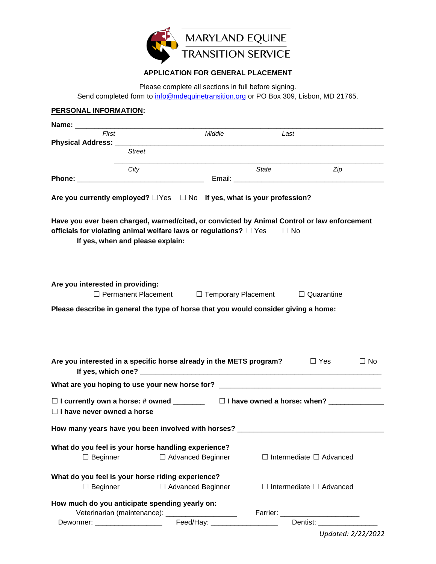

## **APPLICATION FOR GENERAL PLACEMENT**

Please complete all sections in full before signing.

Send completed form to [info@mdequinetransition.org](mailto:info@mdequinetransition.org) or PO Box 309, Lisbon, MD 21765.

| First                                                                                                                                                                                                                                                                                                                                                                                                                                                                                          |                                                                                   | Middle                        | Last                                                                    |                                                                                             |
|------------------------------------------------------------------------------------------------------------------------------------------------------------------------------------------------------------------------------------------------------------------------------------------------------------------------------------------------------------------------------------------------------------------------------------------------------------------------------------------------|-----------------------------------------------------------------------------------|-------------------------------|-------------------------------------------------------------------------|---------------------------------------------------------------------------------------------|
|                                                                                                                                                                                                                                                                                                                                                                                                                                                                                                | <b>Street</b>                                                                     |                               |                                                                         |                                                                                             |
|                                                                                                                                                                                                                                                                                                                                                                                                                                                                                                |                                                                                   |                               |                                                                         |                                                                                             |
|                                                                                                                                                                                                                                                                                                                                                                                                                                                                                                | City                                                                              |                               | State                                                                   | Zip                                                                                         |
|                                                                                                                                                                                                                                                                                                                                                                                                                                                                                                |                                                                                   |                               |                                                                         |                                                                                             |
|                                                                                                                                                                                                                                                                                                                                                                                                                                                                                                | Are you currently employed? $\Box$ Yes $\Box$ No If yes, what is your profession? |                               |                                                                         |                                                                                             |
| officials for violating animal welfare laws or regulations? $\Box$ Yes                                                                                                                                                                                                                                                                                                                                                                                                                         | If yes, when and please explain:                                                  |                               | $\Box$ No                                                               | Have you ever been charged, warned/cited, or convicted by Animal Control or law enforcement |
| Are you interested in providing:                                                                                                                                                                                                                                                                                                                                                                                                                                                               |                                                                                   |                               | $\Box$ Permanent Placement $\Box$ Temporary Placement $\Box$ Quarantine |                                                                                             |
|                                                                                                                                                                                                                                                                                                                                                                                                                                                                                                |                                                                                   |                               |                                                                         |                                                                                             |
|                                                                                                                                                                                                                                                                                                                                                                                                                                                                                                |                                                                                   |                               |                                                                         |                                                                                             |
|                                                                                                                                                                                                                                                                                                                                                                                                                                                                                                |                                                                                   |                               |                                                                         | $\Box$ No                                                                                   |
|                                                                                                                                                                                                                                                                                                                                                                                                                                                                                                |                                                                                   |                               |                                                                         |                                                                                             |
|                                                                                                                                                                                                                                                                                                                                                                                                                                                                                                |                                                                                   |                               |                                                                         | □ I currently own a horse: # owned _________  □ I have owned a horse: when? _____________   |
|                                                                                                                                                                                                                                                                                                                                                                                                                                                                                                |                                                                                   |                               |                                                                         |                                                                                             |
|                                                                                                                                                                                                                                                                                                                                                                                                                                                                                                |                                                                                   |                               |                                                                         |                                                                                             |
| $\Box$ Beginner                                                                                                                                                                                                                                                                                                                                                                                                                                                                                |                                                                                   | □ Advanced Beginner           |                                                                         | $\Box$ Intermediate $\Box$ Advanced                                                         |
|                                                                                                                                                                                                                                                                                                                                                                                                                                                                                                |                                                                                   |                               |                                                                         |                                                                                             |
|                                                                                                                                                                                                                                                                                                                                                                                                                                                                                                |                                                                                   |                               |                                                                         |                                                                                             |
| $\Box$ Beginner                                                                                                                                                                                                                                                                                                                                                                                                                                                                                |                                                                                   | □ Advanced Beginner           |                                                                         | $\Box$ Intermediate $\Box$ Advanced                                                         |
|                                                                                                                                                                                                                                                                                                                                                                                                                                                                                                |                                                                                   |                               |                                                                         |                                                                                             |
| Please describe in general the type of horse that you would consider giving a home:<br>Are you interested in a specific horse already in the METS program? $\Box$ Yes<br>$\Box$ I have never owned a horse<br>How many years have you been involved with horses? _____________________________<br>What do you feel is your horse handling experience?<br>What do you feel is your horse riding experience?<br>How much do you anticipate spending yearly on:<br>Dewormer: ____________________ | Veterinarian (maintenance): _____________________                                 | Feed/Hay: ___________________ |                                                                         | Dentist: ____________________                                                               |

*Updated: 2/22/2022*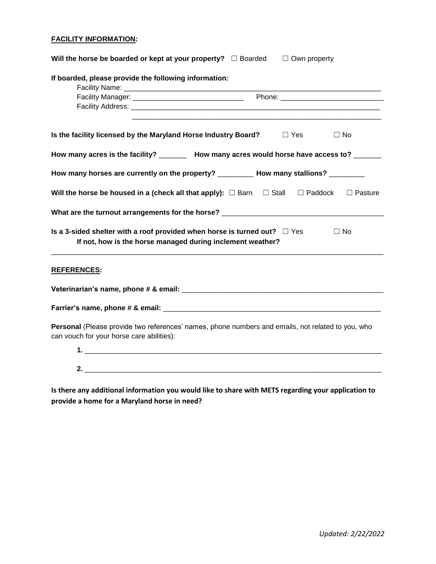## **FACILITY INFORMATION:**

| Will the horse be boarded or kept at your property? $\Box$ Boarded<br>$\Box$ Own property                                                                 |
|-----------------------------------------------------------------------------------------------------------------------------------------------------------|
| If boarded, please provide the following information:                                                                                                     |
|                                                                                                                                                           |
|                                                                                                                                                           |
| Is the facility licensed by the Maryland Horse Industry Board?<br>$\Box$ Yes<br>$\Box$ No                                                                 |
| How many acres is the facility? _________ How many acres would horse have access to? _______                                                              |
| How many horses are currently on the property? __________ How many stallions? _________                                                                   |
| Will the horse be housed in a (check all that apply): $\square$ Barn $\square$ Stall $\square$ Paddock<br>$\Box$ Pasture                                  |
|                                                                                                                                                           |
| Is a 3-sided shelter with a roof provided when horse is turned out? $\Box$ Yes<br>$\Box$ No<br>If not, how is the horse managed during inclement weather? |
| <b>REFERENCES:</b>                                                                                                                                        |
|                                                                                                                                                           |
|                                                                                                                                                           |
| Personal (Please provide two references' names, phone numbers and emails, not related to you, who<br>can vouch for your horse care abilities):            |
|                                                                                                                                                           |
| <u>2.</u>                                                                                                                                                 |
|                                                                                                                                                           |

**Is there any additional information you would like to share with METS regarding your application to provide a home for a Maryland horse in need?**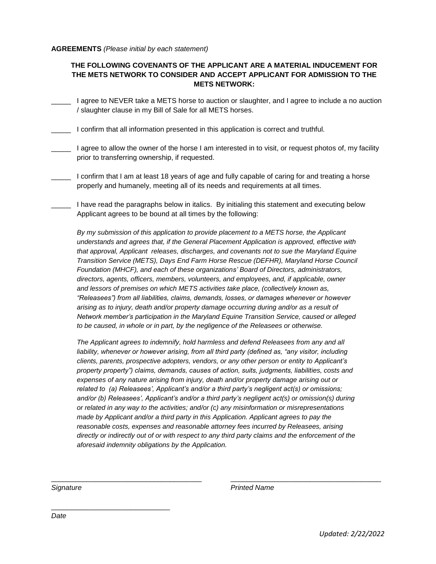## **AGREEMENTS** *(Please initial by each statement)*

## **THE FOLLOWING COVENANTS OF THE APPLICANT ARE A MATERIAL INDUCEMENT FOR THE METS NETWORK TO CONSIDER AND ACCEPT APPLICANT FOR ADMISSION TO THE METS NETWORK:**

- \_\_\_\_\_ I agree to NEVER take a METS horse to auction or slaughter, and I agree to include a no auction / slaughter clause in my Bill of Sale for all METS horses.
- \_\_\_\_\_ I confirm that all information presented in this application is correct and truthful.
- \_\_\_\_\_ I agree to allow the owner of the horse I am interested in to visit, or request photos of, my facility prior to transferring ownership, if requested.
- I confirm that I am at least 18 years of age and fully capable of caring for and treating a horse properly and humanely, meeting all of its needs and requirements at all times.
- I have read the paragraphs below in italics. By initialing this statement and executing below Applicant agrees to be bound at all times by the following:

*By my submission of this application to provide placement to a METS horse, the Applicant understands and agrees that, if the General Placement Application is approved, effective with that approval, Applicant releases, discharges, and covenants not to sue the Maryland Equine Transition Service (METS), Days End Farm Horse Rescue (DEFHR), Maryland Horse Council Foundation (MHCF), and each of these organizations' Board of Directors, administrators, directors, agents, officers, members, volunteers, and employees, and, if applicable, owner and lessors of premises on which METS activities take place, (collectively known as, "Releasees") from all liabilities, claims, demands, losses, or damages whenever or however arising as to injury, death and/or property damage occurring during and/or as a result of Network member's participation in the Maryland Equine Transition Service, caused or alleged to be caused, in whole or in part, by the negligence of the Releasees or otherwise.* 

*The Applicant agrees to indemnify, hold harmless and defend Releasees from any and all*  liability, whenever or however arising, from all third party (defined as, "any visitor, including *clients, parents, prospective adopters, vendors, or any other person or entity to Applicant's property property") claims, demands, causes of action, suits, judgments, liabilities, costs and expenses of any nature arising from injury, death and/or property damage arising out or related to (a) Releasees', Applicant's and/or a third party's negligent act(s) or omissions; and/or (b) Releasees', Applicant's and/or a third party's negligent act(s) or omission(s) during or related in any way to the activities; and/or (c) any misinformation or misrepresentations made by Applicant and/or a third party in this Application. Applicant agrees to pay the reasonable costs, expenses and reasonable attorney fees incurred by Releasees, arising directly or indirectly out of or with respect to any third party claims and the enforcement of the aforesaid indemnity obligations by the Application.*

\_\_\_\_\_\_\_\_\_\_\_\_\_\_\_\_\_\_\_\_\_\_\_\_\_\_\_\_\_\_\_\_\_\_\_\_\_\_ \_\_\_\_\_\_\_\_\_\_\_\_\_\_\_\_\_\_\_\_\_\_\_\_\_\_\_\_\_\_\_\_\_\_\_\_\_\_

\_\_\_\_\_\_\_\_\_\_\_\_\_\_\_\_\_\_\_\_\_\_\_\_\_\_\_\_\_\_

*Signature Printed Name*